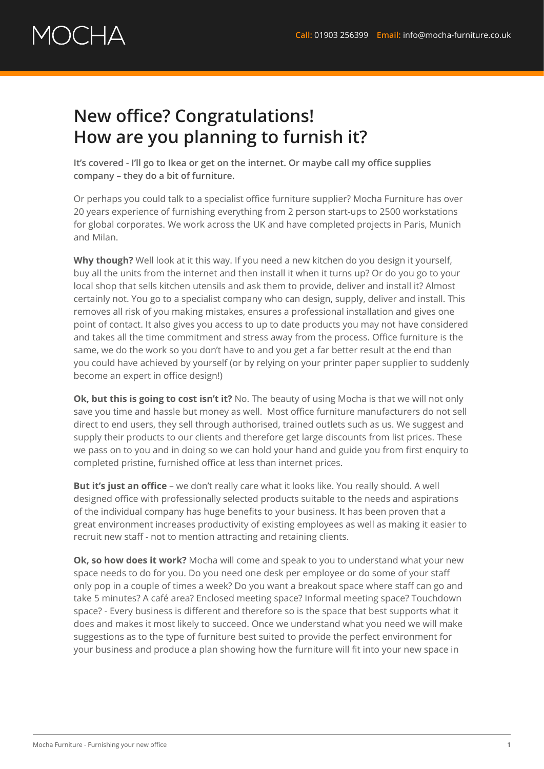## OCHA

## **New office? Congratulations! How are you planning to furnish it?**

**It's covered - I'll go to Ikea or get on the internet. Or maybe call my office supplies company – they do a bit of furniture.**

Or perhaps you could talk to a specialist office furniture supplier? Mocha Furniture has over 20 years experience of furnishing everything from 2 person start-ups to 2500 workstations for global corporates. We work across the UK and have completed projects in Paris, Munich and Milan.

**Why though?** Well look at it this way. If you need a new kitchen do you design it yourself, buy all the units from the internet and then install it when it turns up? Or do you go to your local shop that sells kitchen utensils and ask them to provide, deliver and install it? Almost certainly not. You go to a specialist company who can design, supply, deliver and install. This removes all risk of you making mistakes, ensures a professional installation and gives one point of contact. It also gives you access to up to date products you may not have considered and takes all the time commitment and stress away from the process. Office furniture is the same, we do the work so you don't have to and you get a far better result at the end than you could have achieved by yourself (or by relying on your printer paper supplier to suddenly become an expert in office design!)

**Ok, but this is going to cost isn't it?** No. The beauty of using Mocha is that we will not only save you time and hassle but money as well. Most office furniture manufacturers do not sell direct to end users, they sell through authorised, trained outlets such as us. We suggest and supply their products to our clients and therefore get large discounts from list prices. These we pass on to you and in doing so we can hold your hand and guide you from first enquiry to completed pristine, furnished office at less than internet prices.

**But it's just an office** – we don't really care what it looks like. You really should. A well designed office with professionally selected products suitable to the needs and aspirations of the individual company has huge benefits to your business. It has been proven that a great environment increases productivity of existing employees as well as making it easier to recruit new staff - not to mention attracting and retaining clients.

**Ok, so how does it work?** Mocha will come and speak to you to understand what your new space needs to do for you. Do you need one desk per employee or do some of your staff only pop in a couple of times a week? Do you want a breakout space where staff can go and take 5 minutes? A café area? Enclosed meeting space? Informal meeting space? Touchdown space? - Every business is different and therefore so is the space that best supports what it does and makes it most likely to succeed. Once we understand what you need we will make suggestions as to the type of furniture best suited to provide the perfect environment for your business and produce a plan showing how the furniture will fit into your new space in